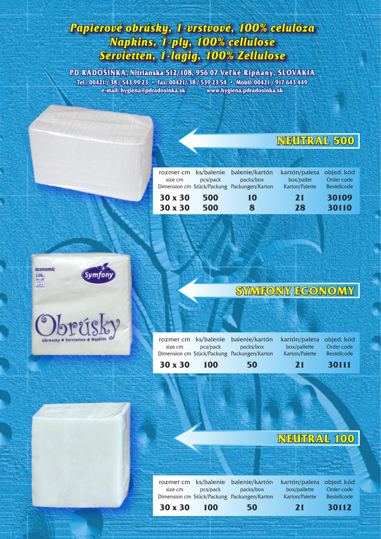## *Papierové obrúsky, 1-vrstvové, 100% celulóza Napkins, 1-ply, 100% cellulose Servietten, 1-lagig, 100% Zellulose*

**PD RADOŠINKA, Nitrianska 512/108, 956 07 Veľké Ripňany, SLOVAKIA Tel.: 00421 / 38 / 543 99 23 • Fax: 00421/ 38 / 539 23 54 • Mobil: 00421 / 917 643 449 e-mail: hygiena@pdradosinka.sk www.hygiena.pdradosinka.sk**

### **NEUTRAL 500**

|         |          | rozmer cm ks/balenie balenie/kartón         | kartón/paleta objed. kód |                    |
|---------|----------|---------------------------------------------|--------------------------|--------------------|
| size cm | pcs/pack | packs/box                                   | box/pallet               | Order code         |
|         |          | Dimension cm Stück/Packung Packungen/Karton | Karton/Palette           | <b>Bestellcode</b> |
| 30 x 30 | 500      | 10                                          | 21                       | 30109              |
| 30 x 30 | 500      | 8                                           | 28                       | 30110              |



## **SYMFONY ECONOMY**

| $30 \times 30$ | 100      | 50                                          | <b>21</b>                | 30111              |
|----------------|----------|---------------------------------------------|--------------------------|--------------------|
|                |          | Dimension cm Stück/Packung Packungen/Karton | Karton/Palette           | <b>Bestellcode</b> |
| size cm        | pcs/pack | packs/box                                   | box/pallette             | Order code         |
|                |          | rozmer cm ks/balenie balenie/kartón         | kartón/paleta objed. kód |                    |
|                |          |                                             |                          |                    |

## **NEUTRAL 100**

rozmer cm ks/balenie balenie/kartón kartón/paleta objed. kód size cm pcs/pack packs/box box/pallette Dimension cm Stück/Packung Packungen/Karton Karton/Palette Bestellcode **30 x 30 100 50 21 30112**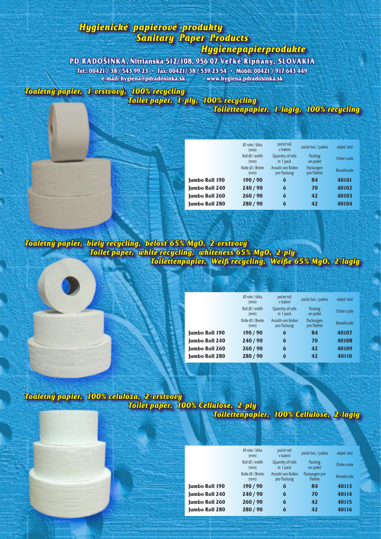# *Hygienické papierové produkty Sanitary Paper Products*

*Hygienepapierprodukte*

#### **PD RADOŠINKA, Nitrianska 512/108, 956 07 Veľké Ripňany, SLOVAKIA**

**Tel.: 00421 / 38 / 543 99 23 • Fax: 00421/ 38 / 539 23 54 • Mobil: 00421 / 917 643 449 e-mail: hygiena@pdradosinka.sk www.hygiena.pdradosinka.sk**

*Toaletný papier, 1-vrstvový, 100% recycling Toilet paper, 1-ply, 100% recycling*

*Toilettenpapier, 1-lagig, 100% recycling*

|                       | Ø role / šírka<br>(mm)   | počet rolí<br>v balení           | počet bal. / paleta      | objed. kód         |
|-----------------------|--------------------------|----------------------------------|--------------------------|--------------------|
|                       | Roll Ø / width<br>(mm)   | Quantity of rolls<br>in 1 pack   | Packing<br>on pallet     | Order code         |
|                       | Rolle Ø / Breite<br>(mm) | Anzahl von Rollen<br>pro Packung | Packungen<br>pro Palette | <b>Bestellcode</b> |
| <b>Jumbo Roll 190</b> | 190/90                   | 6                                | 84                       | 40101              |
| <b>Jumbo Roll 240</b> | 240/90                   | 6                                | 70                       | 40102              |
| <b>Jumbo Roll 260</b> | 260/90                   | 6                                | 42                       | 40103              |
| <b>Iumbo Roll 280</b> | 280/90                   | 6                                | 42                       | 40104              |
|                       |                          |                                  |                          |                    |

*Toaletný papier, biely recycling, belosť 65% MgO, 2-vrstvový Toilet paper, white recycling, whiteness 65% MgO, 2-ply Toilettenpapier, Weiß recycling, Weiße 65% MgO, 2-lagig*

|                       | Ø role / šírka<br>(mm)   | počet rolí<br>v balení           | počet bal. / paleta      | objed. kód         |
|-----------------------|--------------------------|----------------------------------|--------------------------|--------------------|
|                       | Roll Ø / width<br>(mm)   | Quantity of rolls<br>in 1 pack   | Packing<br>on pallet     | Order code         |
|                       | Rolle Ø / Breite<br>(mm) | Anzahl von Rollen<br>pro Packung | Packungen<br>pro Palette | <b>Bestellcode</b> |
| <b>Jumbo Roll 190</b> | 190/90                   | 6                                | 84                       | 40107              |
| <b>Jumbo Roll 240</b> | 240/90                   | 6                                | 70                       | 40108              |
| <b>Jumbo Roll 260</b> | 260/90                   | 6                                | 42                       | 40109              |
| <b>Jumbo Roll 280</b> | 280/90                   | 6                                | 42                       | 40110              |

*Toaletný papier, 100% celulóza, 2-vrstvový Toilet paper, 100% Cellulose, 2-ply Toilettenpapier, 100% Cellulose, 2-lagig*

|                       | Ø role / šírka<br>(mm)   | počet rolí<br>v balení           | počet bal. / paleta      | objed. kód         |
|-----------------------|--------------------------|----------------------------------|--------------------------|--------------------|
|                       | Roll Ø / width<br>(mm)   | Quantity of rolls<br>in 1 pack   | Packing<br>on pallet     | Order code         |
|                       | Rolle Ø / Breite<br>(mm) | Anzahl von Rollen<br>pro Packung | Packungen pro<br>Palette | <b>Bestellcode</b> |
| <b>Jumbo Roll 190</b> | 190/90                   | 6                                | 84                       | 40113              |
| <b>Jumbo Roll 240</b> | 240/90                   | 6                                | 70                       | 40114              |
| <b>Jumbo Roll 260</b> | 260/90                   | 6                                | 42                       | 40115              |
| <b>Jumbo Roll 280</b> | 280/90                   | 6                                | 42                       | 40116              |